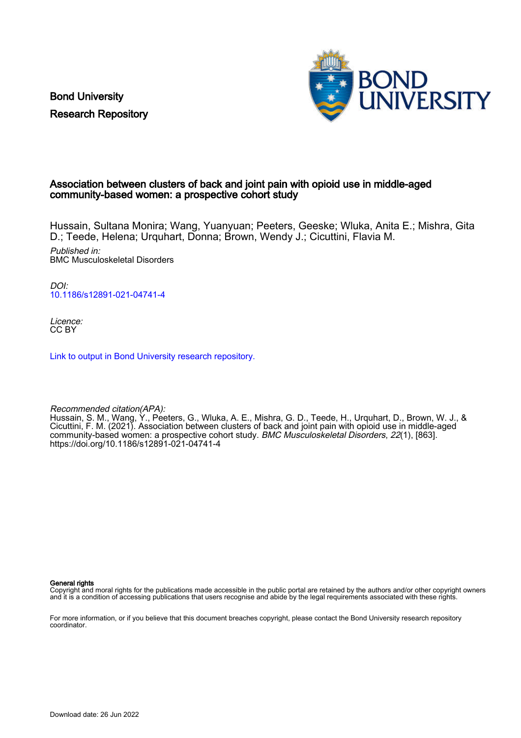Bond University Research Repository



# Association between clusters of back and joint pain with opioid use in middle-aged community-based women: a prospective cohort study

Hussain, Sultana Monira; Wang, Yuanyuan; Peeters, Geeske; Wluka, Anita E.; Mishra, Gita D.; Teede, Helena; Urquhart, Donna; Brown, Wendy J.; Cicuttini, Flavia M.

Published in: BMC Musculoskeletal Disorders

DOI: [10.1186/s12891-021-04741-4](https://doi.org/10.1186/s12891-021-04741-4)

Licence: CC BY

[Link to output in Bond University research repository.](https://research.bond.edu.au/en/publications/fca57c51-0164-48f3-baf9-be350fdcc6b5)

Recommended citation(APA):

Hussain, S. M., Wang, Y., Peeters, G., Wluka, A. E., Mishra, G. D., Teede, H., Urquhart, D., Brown, W. J., & Cicuttini, F. M. (2021). Association between clusters of back and joint pain with opioid use in middle-aged community-based women: a prospective cohort study. BMC Musculoskeletal Disorders, 22(1), [863]. <https://doi.org/10.1186/s12891-021-04741-4>

General rights

Copyright and moral rights for the publications made accessible in the public portal are retained by the authors and/or other copyright owners and it is a condition of accessing publications that users recognise and abide by the legal requirements associated with these rights.

For more information, or if you believe that this document breaches copyright, please contact the Bond University research repository coordinator.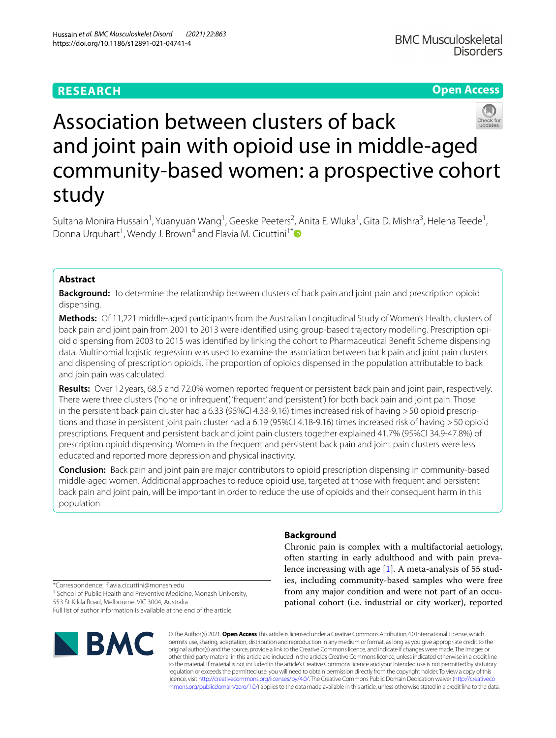# **RESEARCH**

# **Open Access**



# Association between clusters of back and joint pain with opioid use in middle-aged community-based women: a prospective cohort study

Sultana Monira Hussain<sup>1</sup>, Yuanyuan Wang<sup>1</sup>, Geeske Peeters<sup>2</sup>, Anita E. Wluka<sup>1</sup>, Gita D. Mishra<sup>3</sup>, Helena Teede<sup>1</sup>, Donna Urquhart<sup>1</sup>, Wendy J. Brown<sup>4</sup> and Flavia M. Cicuttini<sup>1[\\*](https://orcid.org/0000-0002-8200-1618)</sup>

# **Abstract**

**Background:** To determine the relationship between clusters of back pain and joint pain and prescription opioid dispensing.

**Methods:** Of 11,221 middle-aged participants from the Australian Longitudinal Study of Women's Health, clusters of back pain and joint pain from 2001 to 2013 were identifed using group-based trajectory modelling. Prescription opioid dispensing from 2003 to 2015 was identifed by linking the cohort to Pharmaceutical Beneft Scheme dispensing data. Multinomial logistic regression was used to examine the association between back pain and joint pain clusters and dispensing of prescription opioids. The proportion of opioids dispensed in the population attributable to back and join pain was calculated.

**Results:** Over 12 years, 68.5 and 72.0% women reported frequent or persistent back pain and joint pain, respectively. There were three clusters ('none or infrequent', 'frequent' and 'persistent') for both back pain and joint pain. Those in the persistent back pain cluster had a 6.33 (95%CI 4.38-9.16) times increased risk of having >50 opioid prescriptions and those in persistent joint pain cluster had a 6.19 (95%CI 4.18-9.16) times increased risk of having >50 opioid prescriptions. Frequent and persistent back and joint pain clusters together explained 41.7% (95%CI 34.9-47.8%) of prescription opioid dispensing. Women in the frequent and persistent back pain and joint pain clusters were less educated and reported more depression and physical inactivity.

**Conclusion:** Back pain and joint pain are major contributors to opioid prescription dispensing in community-based middle-aged women. Additional approaches to reduce opioid use, targeted at those with frequent and persistent back pain and joint pain, will be important in order to reduce the use of opioids and their consequent harm in this population.

# **Background**

Chronic pain is complex with a multifactorial aetiology, often starting in early adulthood and with pain prevalence increasing with age [\[1](#page-8-0)]. A meta-analysis of 55 studies, including community-based samples who were free from any major condition and were not part of an occupational cohort (i.e. industrial or city worker), reported

\*Correspondence: favia.cicuttini@monash.edu <sup>1</sup> School of Public Health and Preventive Medicine, Monash University,

553 St Kilda Road, Melbourne, VIC 3004, Australia Full list of author information is available at the end of the article



© The Author(s) 2021. **Open Access** This article is licensed under a Creative Commons Attribution 4.0 International License, which permits use, sharing, adaptation, distribution and reproduction in any medium or format, as long as you give appropriate credit to the original author(s) and the source, provide a link to the Creative Commons licence, and indicate if changes were made. The images or other third party material in this article are included in the article's Creative Commons licence, unless indicated otherwise in a credit line to the material. If material is not included in the article's Creative Commons licence and your intended use is not permitted by statutory regulation or exceeds the permitted use, you will need to obtain permission directly from the copyright holder. To view a copy of this licence, visit [http://creativecommons.org/licenses/by/4.0/.](http://creativecommons.org/licenses/by/4.0/) The Creative Commons Public Domain Dedication waiver ([http://creativeco](http://creativecommons.org/publicdomain/zero/1.0/) [mmons.org/publicdomain/zero/1.0/](http://creativecommons.org/publicdomain/zero/1.0/)) applies to the data made available in this article, unless otherwise stated in a credit line to the data.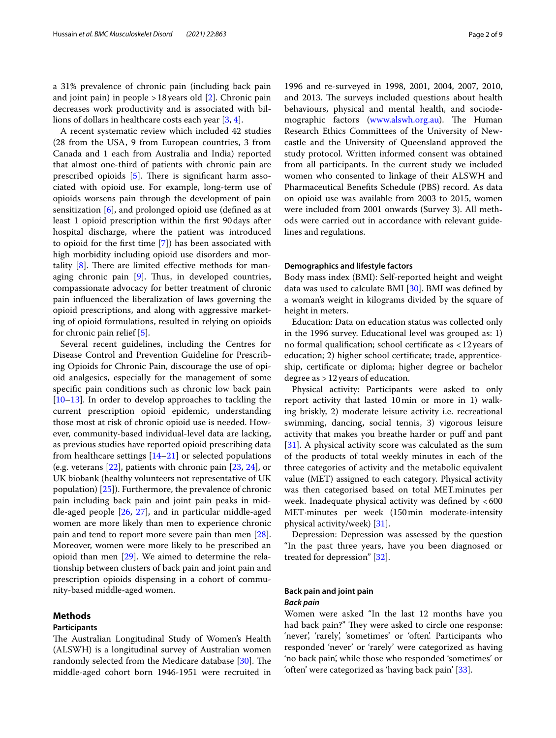a 31% prevalence of chronic pain (including back pain and joint pain) in people  $>18$  years old [[2\]](#page-8-1). Chronic pain decreases work productivity and is associated with billions of dollars in healthcare costs each year [[3,](#page-8-2) [4](#page-8-3)].

A recent systematic review which included 42 studies (28 from the USA, 9 from European countries, 3 from Canada and 1 each from Australia and India) reported that almost one-third of patients with chronic pain are prescribed opioids  $[5]$  $[5]$ . There is significant harm associated with opioid use. For example, long-term use of opioids worsens pain through the development of pain sensitization [\[6](#page-8-5)], and prolonged opioid use (defned as at least 1 opioid prescription within the frst 90days after hospital discharge, where the patient was introduced to opioid for the frst time [[7\]](#page-8-6)) has been associated with high morbidity including opioid use disorders and mortality  $[8]$  $[8]$ . There are limited effective methods for managing chronic pain  $[9]$  $[9]$ . Thus, in developed countries, compassionate advocacy for better treatment of chronic pain infuenced the liberalization of laws governing the opioid prescriptions, and along with aggressive marketing of opioid formulations, resulted in relying on opioids for chronic pain relief [[5](#page-8-4)].

Several recent guidelines, including the Centres for Disease Control and Prevention Guideline for Prescribing Opioids for Chronic Pain, discourage the use of opioid analgesics, especially for the management of some specifc pain conditions such as chronic low back pain [[10–](#page-8-9)[13](#page-8-10)]. In order to develop approaches to tackling the current prescription opioid epidemic, understanding those most at risk of chronic opioid use is needed. However, community-based individual-level data are lacking, as previous studies have reported opioid prescribing data from healthcare settings  $[14–21]$  $[14–21]$  $[14–21]$  $[14–21]$  or selected populations (e.g. veterans [[22](#page-8-13)], patients with chronic pain [[23,](#page-8-14) [24](#page-8-15)], or UK biobank (healthy volunteers not representative of UK population) [[25\]](#page-8-16)). Furthermore, the prevalence of chronic pain including back pain and joint pain peaks in middle-aged people [[26,](#page-8-17) [27](#page-8-18)], and in particular middle-aged women are more likely than men to experience chronic pain and tend to report more severe pain than men [\[28](#page-8-19)]. Moreover, women were more likely to be prescribed an opioid than men [\[29](#page-9-0)]. We aimed to determine the relationship between clusters of back pain and joint pain and prescription opioids dispensing in a cohort of community-based middle-aged women.

# **Methods**

# **Participants**

The Australian Longitudinal Study of Women's Health (ALSWH) is a longitudinal survey of Australian women randomly selected from the Medicare database  $[30]$  $[30]$ . The middle-aged cohort born 1946-1951 were recruited in

1996 and re-surveyed in 1998, 2001, 2004, 2007, 2010, and 2013. The surveys included questions about health behaviours, physical and mental health, and sociode-mographic factors [\(www.alswh.org.au\)](http://www.alswh.org.au). The Human Research Ethics Committees of the University of Newcastle and the University of Queensland approved the study protocol. Written informed consent was obtained from all participants. In the current study we included women who consented to linkage of their ALSWH and Pharmaceutical Benefts Schedule (PBS) record. As data on opioid use was available from 2003 to 2015, women were included from 2001 onwards (Survey 3). All methods were carried out in accordance with relevant guidelines and regulations.

## **Demographics and lifestyle factors**

Body mass index (BMI): Self-reported height and weight data was used to calculate BMI [[30\]](#page-9-1). BMI was defned by a woman's weight in kilograms divided by the square of height in meters.

Education: Data on education status was collected only in the 1996 survey. Educational level was grouped as: 1) no formal qualifcation; school certifcate as <12years of education; 2) higher school certifcate; trade, apprenticeship, certifcate or diploma; higher degree or bachelor degree as >12years of education.

Physical activity: Participants were asked to only report activity that lasted 10min or more in 1) walking briskly, 2) moderate leisure activity i.e. recreational swimming, dancing, social tennis, 3) vigorous leisure activity that makes you breathe harder or puf and pant [[31\]](#page-9-2). A physical activity score was calculated as the sum of the products of total weekly minutes in each of the three categories of activity and the metabolic equivalent value (MET) assigned to each category. Physical activity was then categorised based on total MET.minutes per week. Inadequate physical activity was defined by  $<600$ MET·minutes per week (150min moderate-intensity physical activity/week) [\[31\]](#page-9-2).

Depression: Depression was assessed by the question "In the past three years, have you been diagnosed or treated for depression" [[32\]](#page-9-3).

# **Back pain and joint pain** *Back pain*

Women were asked "In the last 12 months have you had back pain?" They were asked to circle one response: 'never', 'rarely', 'sometimes' or 'often'. Participants who responded 'never' or 'rarely' were categorized as having 'no back pain', while those who responded 'sometimes' or 'often' were categorized as 'having back pain' [\[33](#page-9-4)].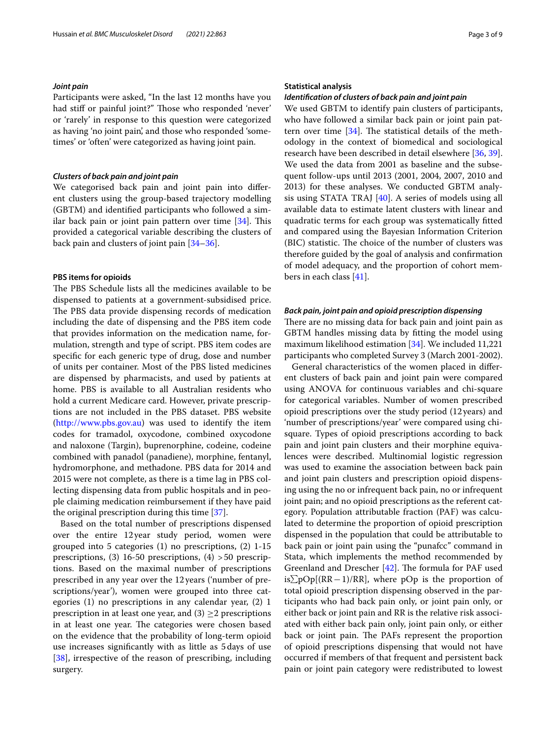## *Joint pain*

Participants were asked, "In the last 12 months have you had stiff or painful joint?" Those who responded 'never' or 'rarely' in response to this question were categorized as having 'no joint pain', and those who responded 'sometimes' or 'often' were categorized as having joint pain.

## *Clusters of back pain and joint pain*

We categorised back pain and joint pain into diferent clusters using the group-based trajectory modelling (GBTM) and identifed participants who followed a similar back pain or joint pain pattern over time  $[34]$  $[34]$ . This provided a categorical variable describing the clusters of back pain and clusters of joint pain [\[34](#page-9-5)[–36\]](#page-9-6).

## **PBS items for opioids**

The PBS Schedule lists all the medicines available to be dispensed to patients at a government-subsidised price. The PBS data provide dispensing records of medication including the date of dispensing and the PBS item code that provides information on the medication name, formulation, strength and type of script. PBS item codes are specifc for each generic type of drug, dose and number of units per container. Most of the PBS listed medicines are dispensed by pharmacists, and used by patients at home. PBS is available to all Australian residents who hold a current Medicare card. However, private prescriptions are not included in the PBS dataset. PBS website ([http://www.pbs.gov.au\)](http://www.pbs.gov.au) was used to identify the item codes for tramadol, oxycodone, combined oxycodone and naloxone (Targin), buprenorphine, codeine, codeine combined with panadol (panadiene), morphine, fentanyl, hydromorphone, and methadone. PBS data for 2014 and 2015 were not complete, as there is a time lag in PBS collecting dispensing data from public hospitals and in people claiming medication reimbursement if they have paid the original prescription during this time [\[37](#page-9-7)].

Based on the total number of prescriptions dispensed over the entire 12year study period, women were grouped into 5 categories (1) no prescriptions, (2) 1-15 prescriptions, (3) 16-50 prescriptions, (4)  $>$  50 prescriptions. Based on the maximal number of prescriptions prescribed in any year over the 12 years ('number of prescriptions/year'), women were grouped into three categories (1) no prescriptions in any calendar year, (2) 1 prescription in at least one year, and  $(3) \geq 2$  prescriptions in at least one year. The categories were chosen based on the evidence that the probability of long-term opioid use increases signifcantly with as little as 5days of use [[38\]](#page-9-8), irrespective of the reason of prescribing, including surgery.

### **Statistical analysis**

### *Identifcation of clusters of back pain and joint pain*

We used GBTM to identify pain clusters of participants, who have followed a similar back pain or joint pain pattern over time  $[34]$ . The statistical details of the methodology in the context of biomedical and sociological research have been described in detail elsewhere [[36,](#page-9-6) [39](#page-9-9)]. We used the data from 2001 as baseline and the subsequent follow-ups until 2013 (2001, 2004, 2007, 2010 and 2013) for these analyses. We conducted GBTM analysis using STATA TRAJ [[40](#page-9-10)]. A series of models using all available data to estimate latent clusters with linear and quadratic terms for each group was systematically ftted and compared using the Bayesian Information Criterion (BIC) statistic. The choice of the number of clusters was therefore guided by the goal of analysis and confrmation of model adequacy, and the proportion of cohort members in each class [\[41](#page-9-11)].

# *Back pain, joint pain and opioid prescription dispensing*

There are no missing data for back pain and joint pain as GBTM handles missing data by ftting the model using maximum likelihood estimation [[34](#page-9-5)]. We included 11,221 participants who completed Survey 3 (March 2001-2002).

General characteristics of the women placed in diferent clusters of back pain and joint pain were compared using ANOVA for continuous variables and chi-square for categorical variables. Number of women prescribed opioid prescriptions over the study period (12 years) and 'number of prescriptions/year' were compared using chisquare. Types of opioid prescriptions according to back pain and joint pain clusters and their morphine equivalences were described. Multinomial logistic regression was used to examine the association between back pain and joint pain clusters and prescription opioid dispensing using the no or infrequent back pain, no or infrequent joint pain; and no opioid prescriptions as the referent category. Population attributable fraction (PAF) was calculated to determine the proportion of opioid prescription dispensed in the population that could be attributable to back pain or joint pain using the "punafcc" command in Stata, which implements the method recommended by Greenland and Drescher  $[42]$  $[42]$  $[42]$ . The formula for PAF used is $∑pOp[(RR-1)/RR]$ , where pOp is the proportion of total opioid prescription dispensing observed in the participants who had back pain only, or joint pain only, or either back or joint pain and RR is the relative risk associated with either back pain only, joint pain only, or either back or joint pain. The PAFs represent the proportion of opioid prescriptions dispensing that would not have occurred if members of that frequent and persistent back pain or joint pain category were redistributed to lowest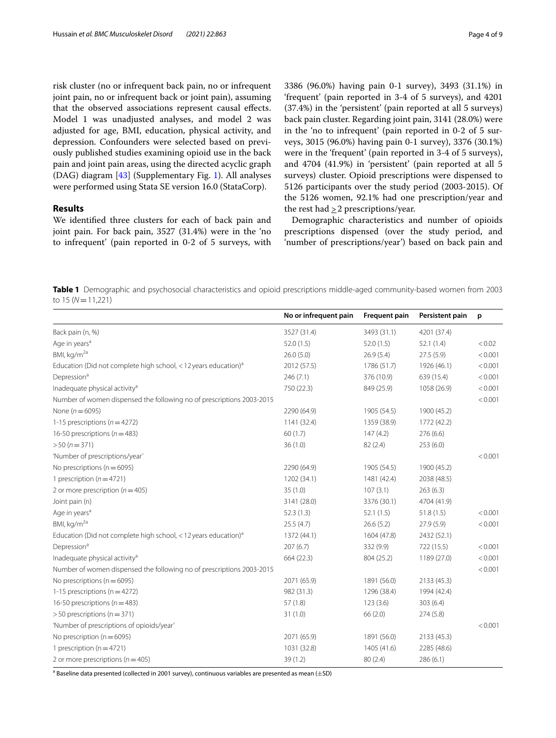risk cluster (no or infrequent back pain, no or infrequent joint pain, no or infrequent back or joint pain), assuming that the observed associations represent causal efects. Model 1 was unadjusted analyses, and model 2 was adjusted for age, BMI, education, physical activity, and depression. Confounders were selected based on previously published studies examining opioid use in the back pain and joint pain areas, using the directed acyclic graph (DAG) diagram [[43\]](#page-9-13) (Supplementary Fig. [1\)](#page-7-0). All analyses were performed using Stata SE version 16.0 (StataCorp).

# **Results**

We identifed three clusters for each of back pain and joint pain. For back pain, 3527 (31.4%) were in the 'no to infrequent' (pain reported in 0-2 of 5 surveys, with 3386 (96.0%) having pain 0-1 survey), 3493 (31.1%) in 'frequent' (pain reported in 3-4 of 5 surveys), and 4201 (37.4%) in the 'persistent' (pain reported at all 5 surveys) back pain cluster. Regarding joint pain, 3141 (28.0%) were in the 'no to infrequent' (pain reported in 0-2 of 5 surveys, 3015 (96.0%) having pain 0-1 survey), 3376 (30.1%) were in the 'frequent' (pain reported in 3-4 of 5 surveys), and 4704 (41.9%) in 'persistent' (pain reported at all 5 surveys) cluster. Opioid prescriptions were dispensed to 5126 participants over the study period (2003-2015). Of the 5126 women, 92.1% had one prescription/year and the rest had  $\geq$  2 prescriptions/year.

Demographic characteristics and number of opioids prescriptions dispensed (over the study period, and 'number of prescriptions/year') based on back pain and

<span id="page-4-0"></span>**Table 1** Demographic and psychosocial characteristics and opioid prescriptions middle-aged community-based women from 2003 to 15 (*N*=11,221)

|                                                                               | No or infrequent pain | Frequent pain | Persistent pain | p       |
|-------------------------------------------------------------------------------|-----------------------|---------------|-----------------|---------|
| Back pain (n, %)                                                              | 3527 (31.4)           | 3493 (31.1)   | 4201 (37.4)     |         |
| Age in years <sup>a</sup>                                                     | 52.0(1.5)             | 52.0(1.5)     | 52.1(1.4)       | < 0.02  |
| BMI, kg/m <sup>2a</sup>                                                       | 26.0(5.0)             | 26.9(5.4)     | 27.5(5.9)       | < 0.001 |
| Education (Did not complete high school, $<$ 12 years education) <sup>a</sup> | 2012 (57.5)           | 1786 (51.7)   | 1926 (46.1)     | < 0.001 |
| Depression <sup>a</sup>                                                       | 246 (7.1)             | 376 (10.9)    | 639 (15.4)      | < 0.001 |
| Inadequate physical activity <sup>a</sup>                                     | 750 (22.3)            | 849 (25.9)    | 1058 (26.9)     | < 0.001 |
| Number of women dispensed the following no of prescriptions 2003-2015         |                       |               |                 | < 0.001 |
| None ( $n = 6095$ )                                                           | 2290 (64.9)           | 1905 (54.5)   | 1900 (45.2)     |         |
| 1-15 prescriptions ( $n = 4272$ )                                             | 1141 (32.4)           | 1359 (38.9)   | 1772 (42.2)     |         |
| 16-50 prescriptions ( $n = 483$ )                                             | 60(1.7)               | 147(4.2)      | 276 (6.6)       |         |
| $> 50 (n = 371)$                                                              | 36(1.0)               | 82(2.4)       | 253(6.0)        |         |
| 'Number of prescriptions/year'                                                |                       |               |                 | < 0.001 |
| No prescriptions ( $n = 6095$ )                                               | 2290 (64.9)           | 1905 (54.5)   | 1900 (45.2)     |         |
| 1 prescription ( $n = 4721$ )                                                 | 1202 (34.1)           | 1481 (42.4)   | 2038 (48.5)     |         |
| 2 or more prescription ( $n = 405$ )                                          | 35 (1.0)              | 107(3.1)      | 263(6.3)        |         |
| Joint pain (n)                                                                | 3141 (28.0)           | 3376 (30.1)   | 4704 (41.9)     |         |
| Age in years <sup>a</sup>                                                     | 52.3(1.3)             | 52.1(1.5)     | 51.8(1.5)       | < 0.001 |
| BMI, kg/m <sup>2a</sup>                                                       | 25.5(4.7)             | 26.6(5.2)     | 27.9(5.9)       | < 0.001 |
| Education (Did not complete high school, $<$ 12 years education) <sup>a</sup> | 1372 (44.1)           | 1604 (47.8)   | 2432 (52.1)     |         |
| Depression <sup>a</sup>                                                       | 207 (6.7)             | 332 (9.9)     | 722 (15.5)      | < 0.001 |
| Inadequate physical activity <sup>a</sup>                                     | 664 (22.3)            | 804 (25.2)    | 1189 (27.0)     | < 0.001 |
| Number of women dispensed the following no of prescriptions 2003-2015         |                       |               |                 | < 0.001 |
| No prescriptions ( $n = 6095$ )                                               | 2071 (65.9)           | 1891 (56.0)   | 2133 (45.3)     |         |
| 1-15 prescriptions ( $n = 4272$ )                                             | 982 (31.3)            | 1296 (38.4)   | 1994 (42.4)     |         |
| 16-50 prescriptions ( $n = 483$ )                                             | 57(1.8)               | 123(3.6)      | 303(6.4)        |         |
| $>$ 50 prescriptions (n = 371)                                                | 31(1.0)               | 66(2.0)       | 274(5.8)        |         |
| 'Number of prescriptions of opioids/year'                                     |                       |               |                 | < 0.001 |
| No prescription ( $n = 6095$ )                                                | 2071 (65.9)           | 1891 (56.0)   | 2133 (45.3)     |         |
| 1 prescription ( $n = 4721$ )                                                 | 1031 (32.8)           | 1405 (41.6)   | 2285 (48.6)     |         |
| 2 or more prescriptions ( $n = 405$ )                                         | 39 (1.2)              | 80(2.4)       | 286(6.1)        |         |

 $^{\rm a}$  Baseline data presented (collected in 2001 survey), continuous variables are presented as mean ( $\pm$ SD)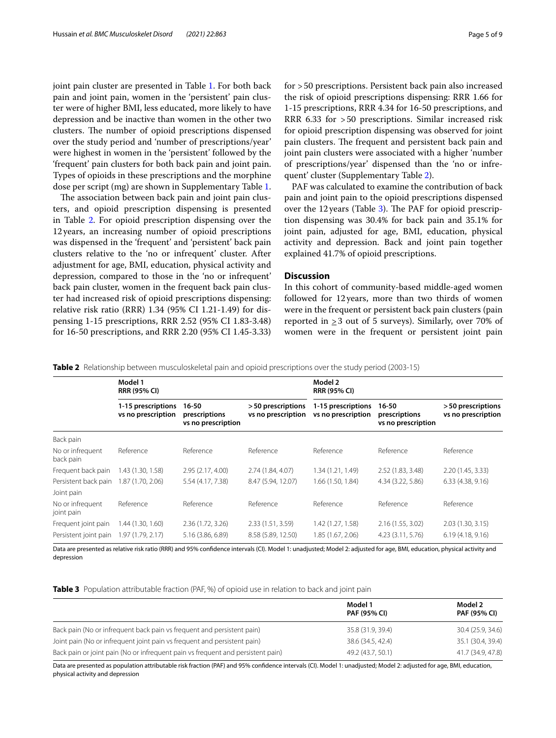joint pain cluster are presented in Table [1](#page-4-0). For both back pain and joint pain, women in the 'persistent' pain cluster were of higher BMI, less educated, more likely to have depression and be inactive than women in the other two clusters. The number of opioid prescriptions dispensed over the study period and 'number of prescriptions/year' were highest in women in the 'persistent' followed by the 'frequent' pain clusters for both back pain and joint pain. Types of opioids in these prescriptions and the morphine dose per script (mg) are shown in Supplementary Table [1](#page-7-1).

The association between back pain and joint pain clusters, and opioid prescription dispensing is presented in Table [2.](#page-5-0) For opioid prescription dispensing over the 12years, an increasing number of opioid prescriptions was dispensed in the 'frequent' and 'persistent' back pain clusters relative to the 'no or infrequent' cluster. After adjustment for age, BMI, education, physical activity and depression, compared to those in the 'no or infrequent' back pain cluster, women in the frequent back pain cluster had increased risk of opioid prescriptions dispensing: relative risk ratio (RRR) 1.34 (95% CI 1.21-1.49) for dispensing 1-15 prescriptions, RRR 2.52 (95% CI 1.83-3.48) for 16-50 prescriptions, and RRR 2.20 (95% CI 1.45-3.33) for >50 prescriptions. Persistent back pain also increased the risk of opioid prescriptions dispensing: RRR 1.66 for 1-15 prescriptions, RRR 4.34 for 16-50 prescriptions, and RRR 6.33 for >50 prescriptions. Similar increased risk for opioid prescription dispensing was observed for joint pain clusters. The frequent and persistent back pain and joint pain clusters were associated with a higher 'number of prescriptions/year' dispensed than the 'no or infrequent' cluster (Supplementary Table [2\)](#page-7-2).

PAF was calculated to examine the contribution of back pain and joint pain to the opioid prescriptions dispensed over the 12 years (Table [3](#page-5-1)). The PAF for opioid prescription dispensing was 30.4% for back pain and 35.1% for joint pain, adjusted for age, BMI, education, physical activity and depression. Back and joint pain together explained 41.7% of opioid prescriptions.

# **Discussion**

In this cohort of community-based middle-aged women followed for 12years, more than two thirds of women were in the frequent or persistent back pain clusters (pain reported in  $\geq$  3 out of 5 surveys). Similarly, over 70% of women were in the frequent or persistent joint pain

<span id="page-5-0"></span>**Table 2** Relationship between musculoskeletal pain and opioid prescriptions over the study period (2003-15)

|                                | Model 1<br><b>RRR (95% CI)</b>           |                                                  |                                         | Model 2<br><b>RRR (95% CI)</b>           |                                              |                                         |
|--------------------------------|------------------------------------------|--------------------------------------------------|-----------------------------------------|------------------------------------------|----------------------------------------------|-----------------------------------------|
|                                | 1-15 prescriptions<br>vs no prescription | $16 - 50$<br>prescriptions<br>vs no prescription | >50 prescriptions<br>vs no prescription | 1-15 prescriptions<br>vs no prescription | 16-50<br>prescriptions<br>vs no prescription | >50 prescriptions<br>vs no prescription |
| Back pain                      |                                          |                                                  |                                         |                                          |                                              |                                         |
| No or infrequent<br>back pain  | Reference                                | Reference                                        | Reference                               | Reference                                | Reference                                    | Reference                               |
| Frequent back pain             | 1.43 (1.30, 1.58)                        | 2.95 (2.17, 4.00)                                | 2.74 (1.84, 4.07)                       | 1.34 (1.21, 1.49)                        | 2.52 (1.83, 3.48)                            | 2.20 (1.45, 3.33)                       |
| Persistent back pain           | 1.87 (1.70, 2.06)                        | 5.54 (4.17, 7.38)                                | 8.47 (5.94, 12.07)                      | 1.66 (1.50, 1.84)                        | 4.34 (3.22, 5.86)                            | 6.33(4.38, 9.16)                        |
| Joint pain                     |                                          |                                                  |                                         |                                          |                                              |                                         |
| No or infrequent<br>joint pain | Reference                                | Reference                                        | Reference                               | Reference                                | Reference                                    | Reference                               |
| Frequent joint pain            | 1.44 (1.30, 1.60)                        | 2.36(1.72, 3.26)                                 | 2.33 (1.51, 3.59)                       | 1.42 (1.27, 1.58)                        | 2.16 (1.55, 3.02)                            | 2.03(1.30, 3.15)                        |
| Persistent joint pain          | 1.97 (1.79, 2.17)                        | 5.16 (3.86, 6.89)                                | 8.58 (5.89, 12.50)                      | 1.85 (1.67, 2.06)                        | 4.23 (3.11, 5.76)                            | 6.19(4.18, 9.16)                        |

Data are presented as relative risk ratio (RRR) and 95% confdence intervals (CI). Model 1: unadjusted; Model 2: adjusted for age, BMI, education, physical activity and depression

<span id="page-5-1"></span>**Table 3** Population attributable fraction (PAF, %) of opioid use in relation to back and joint pain

|                                                                                 | Model 1<br>PAF (95% CI) | Model 2<br><b>PAF (95% CI)</b> |
|---------------------------------------------------------------------------------|-------------------------|--------------------------------|
| Back pain (No or infrequent back pain vs frequent and persistent pain)          | 35.8 (31.9, 39.4)       | 30.4 (25.9, 34.6)              |
| Joint pain (No or infrequent joint pain vs frequent and persistent pain)        | 38.6 (34.5, 42.4)       | 35.1 (30.4, 39.4)              |
| Back pain or joint pain (No or infrequent pain vs frequent and persistent pain) | 49.2 (43.7, 50.1)       | 41.7 (34.9, 47.8)              |

Data are presented as population attributable risk fraction (PAF) and 95% confdence intervals (CI). Model 1: unadjusted; Model 2: adjusted for age, BMI, education, physical activity and depression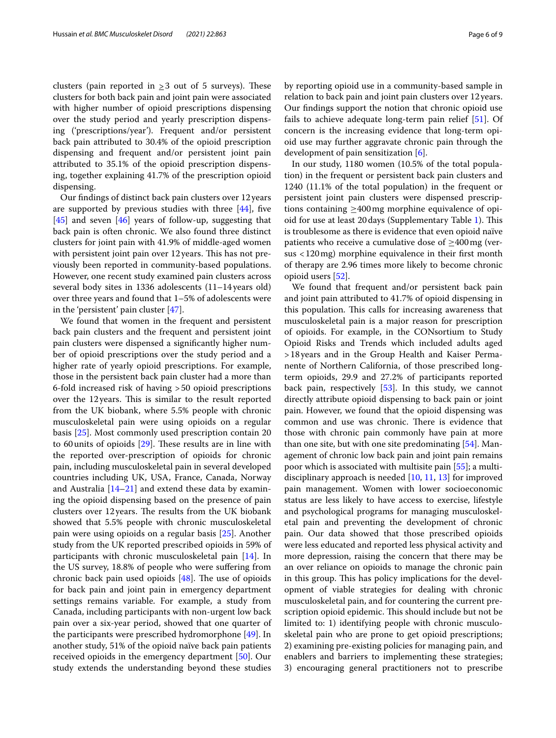clusters (pain reported in  $\geq$  3 out of 5 surveys). These clusters for both back pain and joint pain were associated with higher number of opioid prescriptions dispensing over the study period and yearly prescription dispensing ('prescriptions/year'). Frequent and/or persistent back pain attributed to 30.4% of the opioid prescription dispensing and frequent and/or persistent joint pain attributed to 35.1% of the opioid prescription dispensing, together explaining 41.7% of the prescription opioid dispensing.

Our fndings of distinct back pain clusters over 12years are supported by previous studies with three  $[44]$  $[44]$ , five  $[45]$  $[45]$  and seven  $[46]$  $[46]$  years of follow-up, suggesting that back pain is often chronic. We also found three distinct clusters for joint pain with 41.9% of middle-aged women with persistent joint pain over 12 years. This has not previously been reported in community-based populations. However, one recent study examined pain clusters across several body sites in 1336 adolescents (11–14 years old) over three years and found that 1–5% of adolescents were in the 'persistent' pain cluster [\[47\]](#page-9-17).

We found that women in the frequent and persistent back pain clusters and the frequent and persistent joint pain clusters were dispensed a signifcantly higher number of opioid prescriptions over the study period and a higher rate of yearly opioid prescriptions. For example, those in the persistent back pain cluster had a more than 6-fold increased risk of having >50 opioid prescriptions over the 12 years. This is similar to the result reported from the UK biobank, where 5.5% people with chronic musculoskeletal pain were using opioids on a regular basis [[25\]](#page-8-16). Most commonly used prescription contain 20 to 60 units of opioids  $[29]$  $[29]$ . These results are in line with the reported over-prescription of opioids for chronic pain, including musculoskeletal pain in several developed countries including UK, USA, France, Canada, Norway and Australia [\[14](#page-8-11)[–21\]](#page-8-12) and extend these data by examining the opioid dispensing based on the presence of pain clusters over 12 years. The results from the UK biobank showed that 5.5% people with chronic musculoskeletal pain were using opioids on a regular basis [[25\]](#page-8-16). Another study from the UK reported prescribed opioids in 59% of participants with chronic musculoskeletal pain [\[14](#page-8-11)]. In the US survey, 18.8% of people who were sufering from chronic back pain used opioids  $[48]$  $[48]$ . The use of opioids for back pain and joint pain in emergency department settings remains variable. For example, a study from Canada, including participants with non-urgent low back pain over a six-year period, showed that one quarter of the participants were prescribed hydromorphone [\[49\]](#page-9-19). In another study, 51% of the opioid naïve back pain patients received opioids in the emergency department [\[50](#page-9-20)]. Our study extends the understanding beyond these studies by reporting opioid use in a community-based sample in relation to back pain and joint pain clusters over 12years. Our fndings support the notion that chronic opioid use fails to achieve adequate long-term pain relief [[51](#page-9-21)]. Of concern is the increasing evidence that long-term opioid use may further aggravate chronic pain through the development of pain sensitization [[6\]](#page-8-5).

In our study, 1180 women (10.5% of the total population) in the frequent or persistent back pain clusters and 1240 (11.1% of the total population) in the frequent or persistent joint pain clusters were dispensed prescriptions containing  $\geq 400$  mg morphine equivalence of opi-oid for use at least 20 days (Supplementary Table [1](#page-7-1)). This is troublesome as there is evidence that even opioid naïve patients who receive a cumulative dose of  $\geq$ 400 mg (versus <120mg) morphine equivalence in their frst month of therapy are 2.96 times more likely to become chronic opioid users [[52\]](#page-9-22).

We found that frequent and/or persistent back pain and joint pain attributed to 41.7% of opioid dispensing in this population. This calls for increasing awareness that musculoskeletal pain is a major reason for prescription of opioids. For example, in the CONsortium to Study Opioid Risks and Trends which included adults aged >18years and in the Group Health and Kaiser Permanente of Northern California, of those prescribed longterm opioids, 29.9 and 27.2% of participants reported back pain, respectively [[53](#page-9-23)]. In this study, we cannot directly attribute opioid dispensing to back pain or joint pain. However, we found that the opioid dispensing was common and use was chronic. There is evidence that those with chronic pain commonly have pain at more than one site, but with one site predominating [\[54](#page-9-24)]. Management of chronic low back pain and joint pain remains poor which is associated with multisite pain [[55\]](#page-9-25); a multidisciplinary approach is needed [\[10](#page-8-9), [11,](#page-8-20) [13](#page-8-10)] for improved pain management. Women with lower socioeconomic status are less likely to have access to exercise, lifestyle and psychological programs for managing musculoskeletal pain and preventing the development of chronic pain. Our data showed that those prescribed opioids were less educated and reported less physical activity and more depression, raising the concern that there may be an over reliance on opioids to manage the chronic pain in this group. This has policy implications for the development of viable strategies for dealing with chronic musculoskeletal pain, and for countering the current prescription opioid epidemic. This should include but not be limited to: 1) identifying people with chronic musculoskeletal pain who are prone to get opioid prescriptions; 2) examining pre-existing policies for managing pain, and enablers and barriers to implementing these strategies; 3) encouraging general practitioners not to prescribe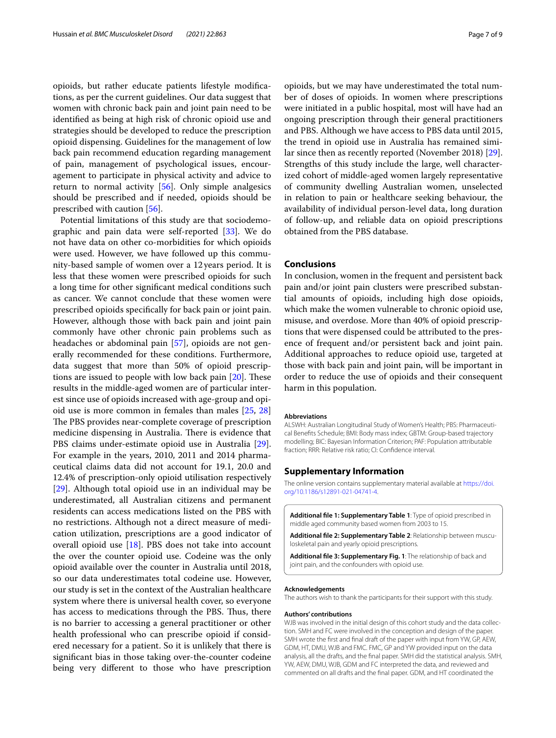opioids, but rather educate patients lifestyle modifcations, as per the current guidelines. Our data suggest that women with chronic back pain and joint pain need to be identifed as being at high risk of chronic opioid use and strategies should be developed to reduce the prescription opioid dispensing. Guidelines for the management of low back pain recommend education regarding management of pain, management of psychological issues, encouragement to participate in physical activity and advice to return to normal activity [[56\]](#page-9-26). Only simple analgesics should be prescribed and if needed, opioids should be prescribed with caution [\[56](#page-9-26)].

Potential limitations of this study are that sociodemographic and pain data were self-reported [[33\]](#page-9-4). We do not have data on other co-morbidities for which opioids were used. However, we have followed up this community-based sample of women over a 12 years period. It is less that these women were prescribed opioids for such a long time for other signifcant medical conditions such as cancer. We cannot conclude that these women were prescribed opioids specifcally for back pain or joint pain. However, although those with back pain and joint pain commonly have other chronic pain problems such as headaches or abdominal pain [[57](#page-9-27)], opioids are not generally recommended for these conditions. Furthermore, data suggest that more than 50% of opioid prescriptions are issued to people with low back pain  $[20]$  $[20]$ . These results in the middle-aged women are of particular interest since use of opioids increased with age-group and opioid use is more common in females than males [\[25,](#page-8-16) [28](#page-8-19)] The PBS provides near-complete coverage of prescription medicine dispensing in Australia. There is evidence that PBS claims under-estimate opioid use in Australia [\[29](#page-9-0)]. For example in the years, 2010, 2011 and 2014 pharmaceutical claims data did not account for 19.1, 20.0 and 12.4% of prescription-only opioid utilisation respectively [[29\]](#page-9-0). Although total opioid use in an individual may be underestimated, all Australian citizens and permanent residents can access medications listed on the PBS with no restrictions. Although not a direct measure of medication utilization, prescriptions are a good indicator of overall opioid use  $[18]$  $[18]$ . PBS does not take into account the over the counter opioid use. Codeine was the only opioid available over the counter in Australia until 2018, so our data underestimates total codeine use. However, our study is set in the context of the Australian healthcare system where there is universal health cover, so everyone has access to medications through the PBS. Thus, there is no barrier to accessing a general practitioner or other health professional who can prescribe opioid if considered necessary for a patient. So it is unlikely that there is signifcant bias in those taking over-the-counter codeine being very diferent to those who have prescription

opioids, but we may have underestimated the total number of doses of opioids. In women where prescriptions were initiated in a public hospital, most will have had an ongoing prescription through their general practitioners and PBS. Although we have access to PBS data until 2015, the trend in opioid use in Australia has remained similar since then as recently reported (November 2018) [\[29](#page-9-0)]. Strengths of this study include the large, well characterized cohort of middle-aged women largely representative of community dwelling Australian women, unselected in relation to pain or healthcare seeking behaviour, the availability of individual person-level data, long duration of follow-up, and reliable data on opioid prescriptions obtained from the PBS database.

# **Conclusions**

In conclusion, women in the frequent and persistent back pain and/or joint pain clusters were prescribed substantial amounts of opioids, including high dose opioids, which make the women vulnerable to chronic opioid use, misuse, and overdose. More than 40% of opioid prescriptions that were dispensed could be attributed to the presence of frequent and/or persistent back and joint pain. Additional approaches to reduce opioid use, targeted at those with back pain and joint pain, will be important in order to reduce the use of opioids and their consequent harm in this population.

#### **Abbreviations**

ALSWH: Australian Longitudinal Study of Women's Health; PBS: Pharmaceutical Benefts Schedule; BMI: Body mass index; GBTM: Group-based trajectory modelling; BIC: Bayesian Information Criterion; PAF: Population attributable fraction; RRR: Relative risk ratio; CI: Confdence interval.

# **Supplementary Information**

The online version contains supplementary material available at [https://doi.](https://doi.org/10.1186/s12891-021-04741-4) [org/10.1186/s12891-021-04741-4](https://doi.org/10.1186/s12891-021-04741-4).

<span id="page-7-2"></span><span id="page-7-1"></span>**Additional fle 1: Supplementary Table 1**: Type of opioid prescribed in middle aged community based women from 2003 to 15.

<span id="page-7-0"></span>**Additional fle 2: Supplementary Table 2**: Relationship between musculoskeletal pain and yearly opioid prescriptions.

**Additional fle 3: Supplementary Fig. 1**: The relationship of back and joint pain, and the confounders with opioid use.

#### **Acknowledgements**

The authors wish to thank the participants for their support with this study.

#### **Authors' contributions**

WJB was involved in the initial design of this cohort study and the data collection. SMH and FC were involved in the conception and design of the paper. SMH wrote the frst and fnal draft of the paper with input from YW, GP, AEW, GDM, HT, DMU, WJB and FMC. FMC, GP and YW provided input on the data analysis, all the drafts, and the fnal paper. SMH did the statistical analysis. SMH, YW, AEW, DMU, WJB, GDM and FC interpreted the data, and reviewed and commented on all drafts and the fnal paper. GDM, and HT coordinated the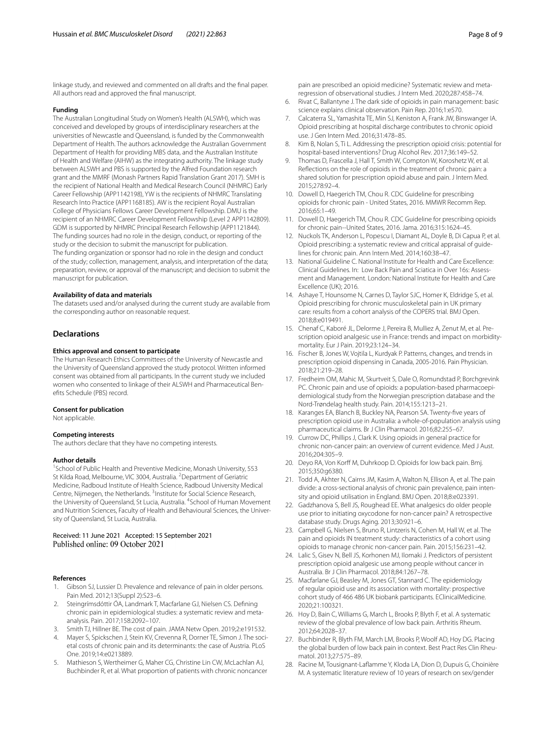linkage study, and reviewed and commented on all drafts and the fnal paper. All authors read and approved the fnal manuscript.

#### **Funding**

The Australian Longitudinal Study on Women's Health (ALSWH), which was conceived and developed by groups of interdisciplinary researchers at the universities of Newcastle and Queensland, is funded by the Commonwealth Department of Health. The authors acknowledge the Australian Government Department of Health for providing MBS data, and the Australian Institute of Health and Welfare (AIHW) as the integrating authority. The linkage study between ALSWH and PBS is supported by the Alfred Foundation research grant and the MMRF (Monash Partners Rapid Translation Grant 2017). SMH is the recipient of National Health and Medical Research Council (NHMRC) Early Career Fellowship (APP1142198), YW is the recipients of NHMRC Translating Research Into Practice (APP1168185). AW is the recipient Royal Australian College of Physicians Fellows Career Development Fellowship. DMU is the recipient of an NHMRC Career Development Fellowship (Level 2 APP1142809). GDM is supported by NHMRC Principal Research Fellowship (APP1121844). The funding sources had no role in the design, conduct, or reporting of the study or the decision to submit the manuscript for publication. The funding organization or sponsor had no role in the design and conduct of the study; collection, management, analysis, and interpretation of the data; preparation, review, or approval of the manuscript; and decision to submit the manuscript for publication.

#### **Availability of data and materials**

The datasets used and/or analysed during the current study are available from the corresponding author on reasonable request.

#### **Declarations**

#### **Ethics approval and consent to participate**

The Human Research Ethics Committees of the University of Newcastle and the University of Queensland approved the study protocol. Written informed consent was obtained from all participants. In the current study we included women who consented to linkage of their ALSWH and Pharmaceutical Benefts Schedule (PBS) record.

#### **Consent for publication**

Not applicable.

#### **Competing interests**

The authors declare that they have no competing interests.

#### **Author details**

<sup>1</sup> School of Public Health and Preventive Medicine, Monash University, 553 St Kilda Road, Melbourne, VIC 3004, Australia. <sup>2</sup> Department of Geriatric Medicine, Radboud Institute of Health Science, Radboud University Medical Centre, Nijmegen, the Netherlands. <sup>3</sup>Institute for Social Science Research, the University of Queensland, St Lucia, Australia. <sup>4</sup>School of Human Movement and Nutrition Sciences, Faculty of Health and Behavioural Sciences, the University of Queensland, St Lucia, Australia.

# Received: 11 June 2021 Accepted: 15 September 2021

#### **References**

- <span id="page-8-0"></span>Gibson SJ, Lussier D. Prevalence and relevance of pain in older persons. Pain Med. 2012;13(Suppl 2):S23–6.
- <span id="page-8-1"></span>2. Steingrímsdóttir ÓA, Landmark T, Macfarlane GJ, Nielsen CS. Defning chronic pain in epidemiological studies: a systematic review and metaanalysis. Pain. 2017;158:2092–107.
- <span id="page-8-2"></span>3. Smith TJ, Hillner BE. The cost of pain. JAMA Netw Open. 2019;2:e191532.
- <span id="page-8-3"></span>4. Mayer S, Spickschen J, Stein KV, Crevenna R, Dorner TE, Simon J. The societal costs of chronic pain and its determinants: the case of Austria. PLoS One. 2019;14:e0213889.
- <span id="page-8-4"></span>5. Mathieson S, Wertheimer G, Maher CG, Christine Lin CW, McLachlan AJ, Buchbinder R, et al. What proportion of patients with chronic noncancer

pain are prescribed an opioid medicine? Systematic review and metaregression of observational studies. J Intern Med. 2020;287:458–74.

- <span id="page-8-5"></span>6. Rivat C, Ballantyne J. The dark side of opioids in pain management: basic science explains clinical observation. Pain Rep. 2016;1:e570.
- <span id="page-8-6"></span>7. Calcaterra SL, Yamashita TE, Min SJ, Keniston A, Frank JW, Binswanger IA. Opioid prescribing at hospital discharge contributes to chronic opioid use. J Gen Intern Med. 2016;31:478–85.
- <span id="page-8-7"></span>8. Kim B, Nolan S, Ti L. Addressing the prescription opioid crisis: potential for hospital-based interventions? Drug Alcohol Rev. 2017;36:149–52.
- <span id="page-8-8"></span>Thomas D, Frascella J, Hall T, Smith W, Compton W, Koroshetz W, et al. Refections on the role of opioids in the treatment of chronic pain: a shared solution for prescription opioid abuse and pain. J Intern Med. 2015;278:92–4.
- <span id="page-8-9"></span>10. Dowell D, Haegerich TM, Chou R. CDC Guideline for prescribing opioids for chronic pain - United States, 2016. MMWR Recomm Rep. 2016;65:1–49.
- <span id="page-8-20"></span>11. Dowell D, Haegerich TM, Chou R. CDC Guideline for prescribing opioids for chronic pain--United States, 2016. Jama. 2016;315:1624–45.
- 12. Nuckols TK, Anderson L, Popescu I, Diamant AL, Doyle B, Di Capua P, et al. Opioid prescribing: a systematic review and critical appraisal of guidelines for chronic pain. Ann Intern Med. 2014;160:38–47.
- <span id="page-8-10"></span>13. National Guideline C. National Institute for Health and Care Excellence: Clinical Guidelines. In: Low Back Pain and Sciatica in Over 16s: Assessment and Management. London: National Institute for Health and Care Excellence (UK); 2016.
- <span id="page-8-11"></span>14. Ashaye T, Hounsome N, Carnes D, Taylor SJC, Homer K, Eldridge S, et al. Opioid prescribing for chronic musculoskeletal pain in UK primary care: results from a cohort analysis of the COPERS trial. BMJ Open. 2018;8:e019491.
- 15. Chenaf C, Kaboré JL, Delorme J, Pereira B, Mulliez A, Zenut M, et al. Prescription opioid analgesic use in France: trends and impact on morbiditymortality. Eur J Pain. 2019;23:124–34.
- 16. Fischer B, Jones W, Vojtila L, Kurdyak P. Patterns, changes, and trends in prescription opioid dispensing in Canada, 2005-2016. Pain Physician. 2018;21:219–28.
- 17. Fredheim OM, Mahic M, Skurtveit S, Dale O, Romundstad P, Borchgrevink PC. Chronic pain and use of opioids: a population-based pharmacoepidemiological study from the Norwegian prescription database and the Nord-Trøndelag health study. Pain. 2014;155:1213–21.
- <span id="page-8-22"></span>18. Karanges EA, Blanch B, Buckley NA, Pearson SA. Twenty-fve years of prescription opioid use in Australia: a whole-of-population analysis using pharmaceutical claims. Br J Clin Pharmacol. 2016;82:255–67.
- 19. Currow DC, Phillips J, Clark K. Using opioids in general practice for chronic non-cancer pain: an overview of current evidence. Med J Aust. 2016;204:305–9.
- <span id="page-8-21"></span>20. Deyo RA, Von Korff M, Duhrkoop D. Opioids for low back pain. Bmj. 2015;350:g6380.
- <span id="page-8-12"></span>21. Todd A, Akhter N, Cairns JM, Kasim A, Walton N, Ellison A, et al. The pain divide: a cross-sectional analysis of chronic pain prevalence, pain intensity and opioid utilisation in England. BMJ Open. 2018;8:e023391.
- <span id="page-8-13"></span>22. Gadzhanova S, Bell JS, Roughead EE. What analgesics do older people use prior to initiating oxycodone for non-cancer pain? A retrospective database study. Drugs Aging. 2013;30:921–6.
- <span id="page-8-14"></span>23. Campbell G, Nielsen S, Bruno R, Lintzeris N, Cohen M, Hall W, et al. The pain and opioids IN treatment study: characteristics of a cohort using opioids to manage chronic non-cancer pain. Pain. 2015;156:231–42.
- <span id="page-8-15"></span>24. Lalic S, Gisev N, Bell JS, Korhonen MJ, Ilomaki J. Predictors of persistent prescription opioid analgesic use among people without cancer in Australia. Br J Clin Pharmacol. 2018;84:1267–78.
- <span id="page-8-16"></span>25. Macfarlane GJ, Beasley M, Jones GT, Stannard C. The epidemiology of regular opioid use and its association with mortality: prospective cohort study of 466 486 UK biobank participants. EClinicalMedicine. 2020;21:100321.
- <span id="page-8-17"></span>26. Hoy D, Bain C, Williams G, March L, Brooks P, Blyth F, et al. A systematic review of the global prevalence of low back pain. Arthritis Rheum. 2012;64:2028–37.
- <span id="page-8-18"></span>27. Buchbinder R, Blyth FM, March LM, Brooks P, Woolf AD, Hoy DG. Placing the global burden of low back pain in context. Best Pract Res Clin Rheumatol. 2013;27:575–89.
- <span id="page-8-19"></span>28. Racine M, Tousignant-Lafamme Y, Kloda LA, Dion D, Dupuis G, Choinière M. A systematic literature review of 10 years of research on sex/gender